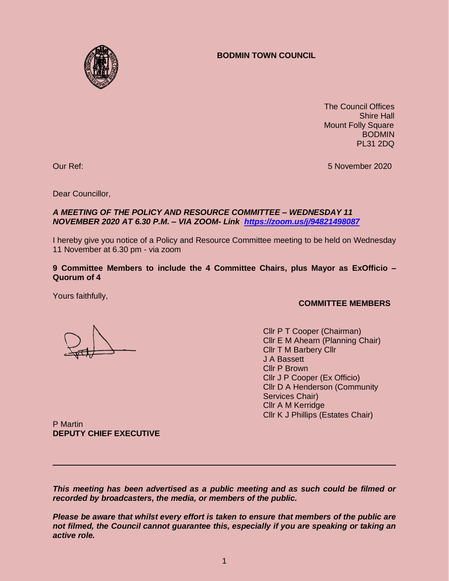# **BODMIN TOWN COUNCIL**



 The Council Offices Shire Hall Mount Folly Square BODMIN PL31 2DQ

Our Ref: 5 November 2020

Dear Councillor,

## *A MEETING OF THE POLICY AND RESOURCE COMMITTEE – WEDNESDAY 11 NOVEMBER 2020 AT 6.30 P.M. – VIA ZOOM- Link <https://zoom.us/j/94821498087>*

I hereby give you notice of a Policy and Resource Committee meeting to be held on Wednesday 11 November at 6.30 pm - via zoom

#### **9 Committee Members to include the 4 Committee Chairs, plus Mayor as ExOfficio – Quorum of 4**

Yours faithfully,

## **COMMITTEE MEMBERS**

Cllr P T Cooper (Chairman) Cllr E M Ahearn (Planning Chair) Cllr T M Barbery Cllr J A Bassett Cllr P Brown Cllr J P Cooper (Ex Officio) Cllr D A Henderson (Community Services Chair) Cllr A M Kerridge Cllr K J Phillips (Estates Chair)

P Martin **DEPUTY CHIEF EXECUTIVE**

*This meeting has been advertised as a public meeting and as such could be filmed or recorded by broadcasters, the media, or members of the public.*

*Please be aware that whilst every effort is taken to ensure that members of the public are not filmed, the Council cannot guarantee this, especially if you are speaking or taking an active role.*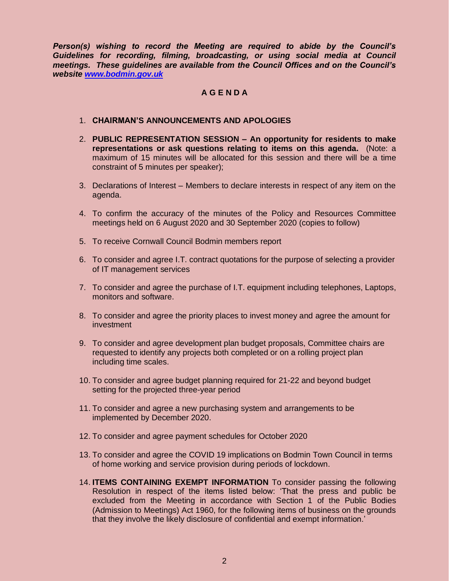*Person(s) wishing to record the Meeting are required to abide by the Council's Guidelines for recording, filming, broadcasting, or using social media at Council meetings. These guidelines are available from the Council Offices and on the Council's website [www.bodmin.gov.uk](http://www.bodmin.gov.uk/)*

# **A G E N D A**

#### 1. **CHAIRMAN'S ANNOUNCEMENTS AND APOLOGIES**

- 2. **PUBLIC REPRESENTATION SESSION – An opportunity for residents to make representations or ask questions relating to items on this agenda.** (Note: a maximum of 15 minutes will be allocated for this session and there will be a time constraint of 5 minutes per speaker);
- 3. Declarations of Interest Members to declare interests in respect of any item on the agenda.
- 4. To confirm the accuracy of the minutes of the Policy and Resources Committee meetings held on 6 August 2020 and 30 September 2020 (copies to follow)
- 5. To receive Cornwall Council Bodmin members report
- 6. To consider and agree I.T. contract quotations for the purpose of selecting a provider of IT management services
- 7. To consider and agree the purchase of I.T. equipment including telephones, Laptops, monitors and software.
- 8. To consider and agree the priority places to invest money and agree the amount for investment
- 9. To consider and agree development plan budget proposals, Committee chairs are requested to identify any projects both completed or on a rolling project plan including time scales.
- 10. To consider and agree budget planning required for 21-22 and beyond budget setting for the projected three-year period
- 11. To consider and agree a new purchasing system and arrangements to be implemented by December 2020.
- 12. To consider and agree payment schedules for October 2020
- 13. To consider and agree the COVID 19 implications on Bodmin Town Council in terms of home working and service provision during periods of lockdown.
- 14. **ITEMS CONTAINING EXEMPT INFORMATION** To consider passing the following Resolution in respect of the items listed below: 'That the press and public be excluded from the Meeting in accordance with Section 1 of the Public Bodies (Admission to Meetings) Act 1960, for the following items of business on the grounds that they involve the likely disclosure of confidential and exempt information.'